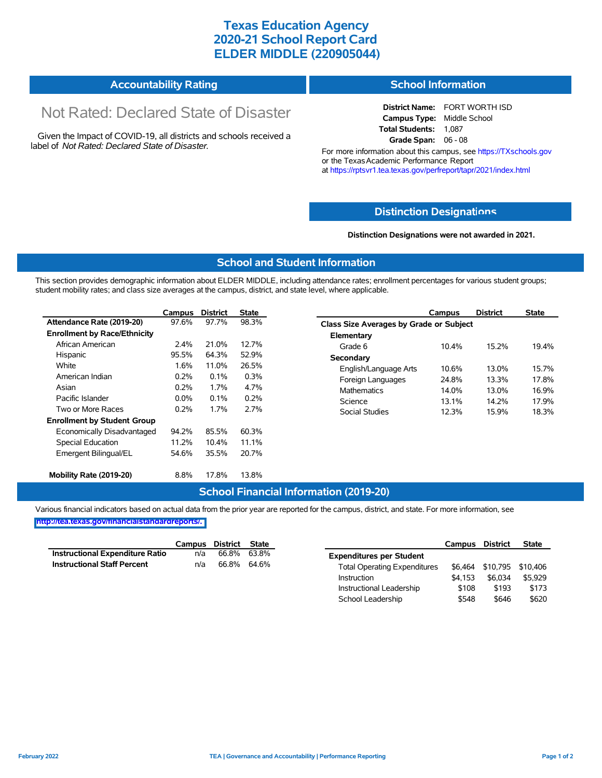### **Texas Education Agency 2020-21 School Report Card ELDER MIDDLE (220905044)**

|  | <b>Accountability Rating</b> | <b>School Information</b> |
|--|------------------------------|---------------------------|
|--|------------------------------|---------------------------|

# Not Rated: Declared State of Disaster

Given the Impact of COVID-19, all districts and schools received a label of *Not Rated: Declared State of Disaster.*

# **District Name:** FORT WORTH ISD

**Campus Type:** Middle School **Total Students:** 1,087 **Grade Span:** 06 - 08

For more information about this campus, see https://TXschools.gov or the Texas Academic Performance Report at https://rptsvr1.tea.texas.gov/perfreport/tapr/2021/index.html

#### **Distinction Designat[ions](https://TXschools.gov)**

**Distinction Designations were not awarded in 2021.**

School Leadership  $$548$  \$646 \$620

#### **School and Student Information**

This section provides demographic information about ELDER MIDDLE, including attendance rates; enrollment percentages for various student groups; student mobility rates; and class size averages at the campus, district, and state level, where applicable.

|                                     | Campus  | <b>District</b> | <b>State</b> | Campus                         | <b>District</b>                         | <b>State</b> |  |  |  |  |
|-------------------------------------|---------|-----------------|--------------|--------------------------------|-----------------------------------------|--------------|--|--|--|--|
| Attendance Rate (2019-20)           | 97.6%   | 97.7%           | 98.3%        |                                | Class Size Averages by Grade or Subject |              |  |  |  |  |
| <b>Enrollment by Race/Ethnicity</b> |         |                 |              | Elementary                     |                                         |              |  |  |  |  |
| African American                    | 2.4%    | 21.0%           | 12.7%        | 10.4%<br>Grade 6               | 15.2%                                   | 19.4%        |  |  |  |  |
| Hispanic                            | 95.5%   | 64.3%           | 52.9%        | Secondary                      |                                         |              |  |  |  |  |
| White                               | 1.6%    | 11.0%           | 26.5%        | English/Language Arts<br>10.6% | 13.0%                                   | 15.7%        |  |  |  |  |
| American Indian                     | 0.2%    | 0.1%            | 0.3%         | 24.8%<br>Foreign Languages     | 13.3%                                   | 17.8%        |  |  |  |  |
| Asian                               | 0.2%    | 1.7%            | 4.7%         | <b>Mathematics</b><br>14.0%    | 13.0%                                   | 16.9%        |  |  |  |  |
| Pacific Islander                    | $0.0\%$ | 0.1%            | 0.2%         | Science<br>13.1%               | 14.2%                                   | 17.9%        |  |  |  |  |
| Two or More Races                   | 0.2%    | 1.7%            | 2.7%         | Social Studies<br>12.3%        | 15.9%                                   | 18.3%        |  |  |  |  |
| <b>Enrollment by Student Group</b>  |         |                 |              |                                |                                         |              |  |  |  |  |
| Economically Disadvantaged          | 94.2%   | 85.5%           | 60.3%        |                                |                                         |              |  |  |  |  |
| Special Education                   | 11.2%   | 10.4%           | 11.1%        |                                |                                         |              |  |  |  |  |
| Emergent Bilingual/EL               | 54.6%   | 35.5%           | 20.7%        |                                |                                         |              |  |  |  |  |
|                                     |         |                 |              |                                |                                         |              |  |  |  |  |
| Mobility Rate (2019-20)             | 8.8%    | 17.8%           | 13.8%        |                                |                                         |              |  |  |  |  |

#### **School Financial Information (2019-20)**

Various financial indicators based on actual data from the prior year are reported for the campus, district, and state. For more information, see

**[http://tea.texas.gov/financialstandardreports/.](http://tea.texas.gov/financialstandardreports/)**

|                                    | Campus | District | <b>State</b> |                                     | Campus  | <b>District</b>           | <b>State</b> |
|------------------------------------|--------|----------|--------------|-------------------------------------|---------|---------------------------|--------------|
| Instructional Expenditure Ratio    | n/a    | 66.8%    | 63.8%        | <b>Expenditures per Student</b>     |         |                           |              |
| <b>Instructional Staff Percent</b> | n/a    | 66.8%    | 64.6%        | <b>Total Operating Expenditures</b> |         | \$6,464 \$10,795 \$10,406 |              |
|                                    |        |          |              | Instruction                         | \$4.153 | \$6.034                   | \$5.929      |
|                                    |        |          |              | Instructional Leadership            | \$108   | \$193                     | \$173        |